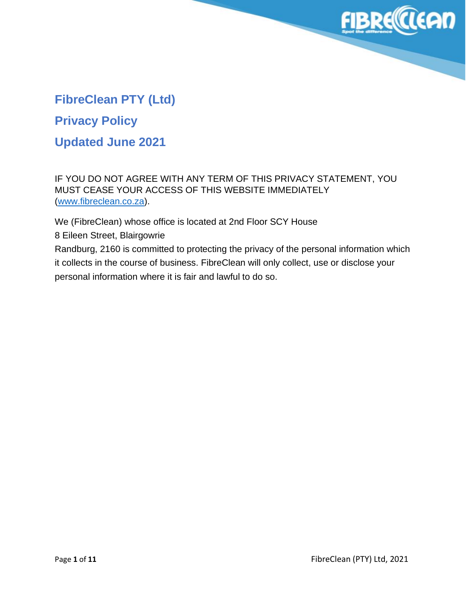

## **FibreClean PTY (Ltd)**

#### **Privacy Policy**

**Updated June 2021**

IF YOU DO NOT AGREE WITH ANY TERM OF THIS PRIVACY STATEMENT, YOU MUST CEASE YOUR ACCESS OF THIS WEBSITE IMMEDIATELY [\(www.fibreclean.co.za\)](http://www.fibreclean.co.za/).

We (FibreClean) whose office is located at 2nd Floor SCY House

8 Eileen Street, Blairgowrie

Randburg, 2160 is committed to protecting the privacy of the personal information which it collects in the course of business. FibreClean will only collect, use or disclose your personal information where it is fair and lawful to do so.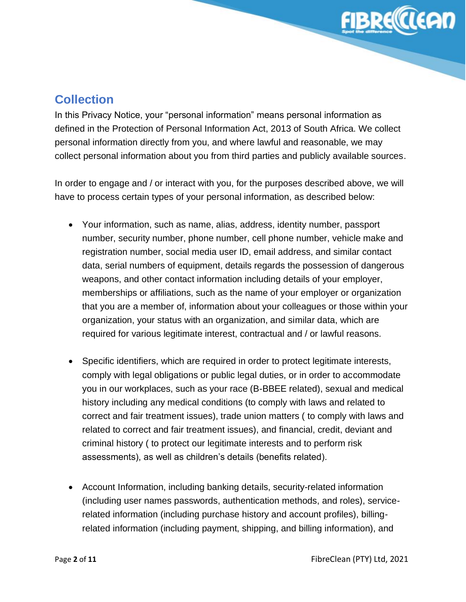

### **Collection**

In this Privacy Notice, your "personal information" means personal information as defined in the Protection of Personal Information Act, 2013 of South Africa. We collect personal information directly from you, and where lawful and reasonable, we may collect personal information about you from third parties and publicly available sources.

In order to engage and / or interact with you, for the purposes described above, we will have to process certain types of your personal information, as described below:

- Your information, such as name, alias, address, identity number, passport number, security number, phone number, cell phone number, vehicle make and registration number, social media user ID, email address, and similar contact data, serial numbers of equipment, details regards the possession of dangerous weapons, and other contact information including details of your employer, memberships or affiliations, such as the name of your employer or organization that you are a member of, information about your colleagues or those within your organization, your status with an organization, and similar data, which are required for various legitimate interest, contractual and / or lawful reasons.
- Specific identifiers, which are required in order to protect legitimate interests, comply with legal obligations or public legal duties, or in order to accommodate you in our workplaces, such as your race (B-BBEE related), sexual and medical history including any medical conditions (to comply with laws and related to correct and fair treatment issues), trade union matters ( to comply with laws and related to correct and fair treatment issues), and financial, credit, deviant and criminal history ( to protect our legitimate interests and to perform risk assessments), as well as children's details (benefits related).
- Account Information, including banking details, security-related information (including user names passwords, authentication methods, and roles), servicerelated information (including purchase history and account profiles), billingrelated information (including payment, shipping, and billing information), and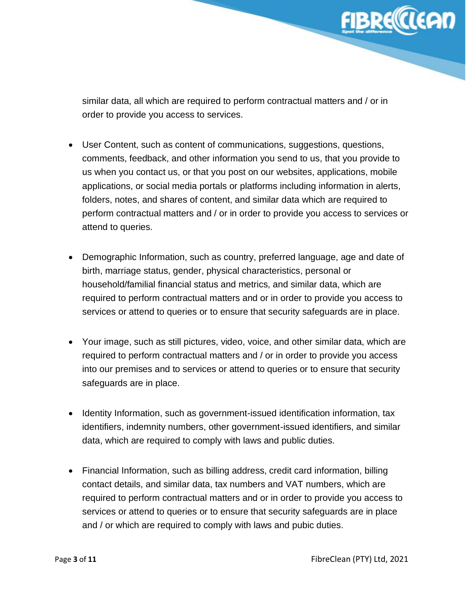

similar data, all which are required to perform contractual matters and / or in order to provide you access to services.

- User Content, such as content of communications, suggestions, questions, comments, feedback, and other information you send to us, that you provide to us when you contact us, or that you post on our websites, applications, mobile applications, or social media portals or platforms including information in alerts, folders, notes, and shares of content, and similar data which are required to perform contractual matters and / or in order to provide you access to services or attend to queries.
- Demographic Information, such as country, preferred language, age and date of birth, marriage status, gender, physical characteristics, personal or household/familial financial status and metrics, and similar data, which are required to perform contractual matters and or in order to provide you access to services or attend to queries or to ensure that security safeguards are in place.
- Your image, such as still pictures, video, voice, and other similar data, which are required to perform contractual matters and / or in order to provide you access into our premises and to services or attend to queries or to ensure that security safeguards are in place.
- Identity Information, such as government-issued identification information, tax identifiers, indemnity numbers, other government-issued identifiers, and similar data, which are required to comply with laws and public duties.
- Financial Information, such as billing address, credit card information, billing contact details, and similar data, tax numbers and VAT numbers, which are required to perform contractual matters and or in order to provide you access to services or attend to queries or to ensure that security safeguards are in place and / or which are required to comply with laws and pubic duties.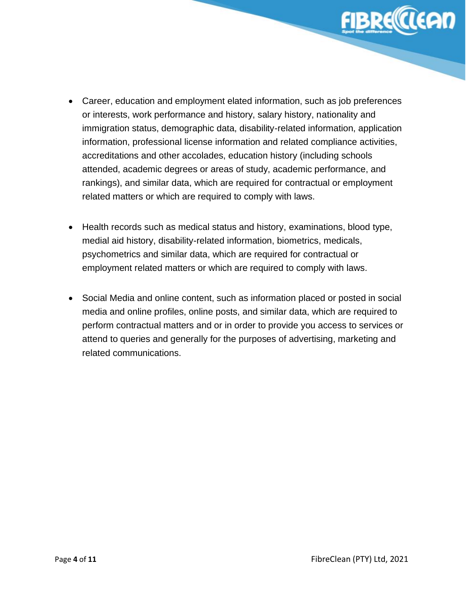

- Career, education and employment elated information, such as job preferences or interests, work performance and history, salary history, nationality and immigration status, demographic data, disability-related information, application information, professional license information and related compliance activities, accreditations and other accolades, education history (including schools attended, academic degrees or areas of study, academic performance, and rankings), and similar data, which are required for contractual or employment related matters or which are required to comply with laws.
- Health records such as medical status and history, examinations, blood type, medial aid history, disability-related information, biometrics, medicals, psychometrics and similar data, which are required for contractual or employment related matters or which are required to comply with laws.
- Social Media and online content, such as information placed or posted in social media and online profiles, online posts, and similar data, which are required to perform contractual matters and or in order to provide you access to services or attend to queries and generally for the purposes of advertising, marketing and related communications.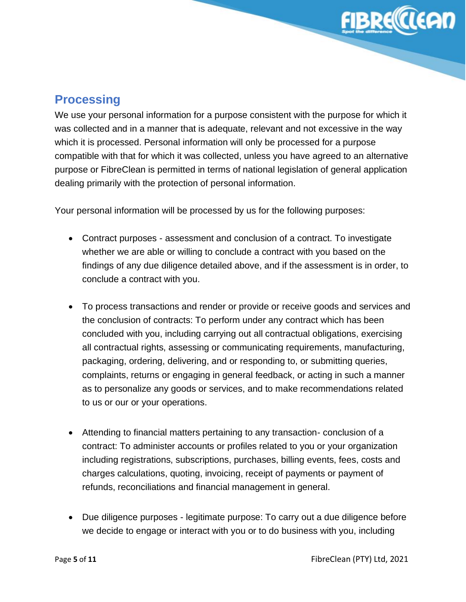

### **Processing**

We use your personal information for a purpose consistent with the purpose for which it was collected and in a manner that is adequate, relevant and not excessive in the way which it is processed. Personal information will only be processed for a purpose compatible with that for which it was collected, unless you have agreed to an alternative purpose or FibreClean is permitted in terms of national legislation of general application dealing primarily with the protection of personal information.

Your personal information will be processed by us for the following purposes:

- Contract purposes assessment and conclusion of a contract. To investigate whether we are able or willing to conclude a contract with you based on the findings of any due diligence detailed above, and if the assessment is in order, to conclude a contract with you.
- To process transactions and render or provide or receive goods and services and the conclusion of contracts: To perform under any contract which has been concluded with you, including carrying out all contractual obligations, exercising all contractual rights, assessing or communicating requirements, manufacturing, packaging, ordering, delivering, and or responding to, or submitting queries, complaints, returns or engaging in general feedback, or acting in such a manner as to personalize any goods or services, and to make recommendations related to us or our or your operations.
- Attending to financial matters pertaining to any transaction- conclusion of a contract: To administer accounts or profiles related to you or your organization including registrations, subscriptions, purchases, billing events, fees, costs and charges calculations, quoting, invoicing, receipt of payments or payment of refunds, reconciliations and financial management in general.
- Due diligence purposes legitimate purpose: To carry out a due diligence before we decide to engage or interact with you or to do business with you, including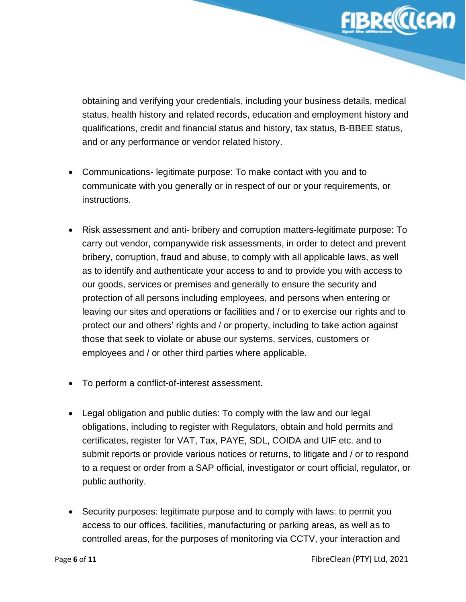

obtaining and verifying your credentials, including your business details, medical status, health history and related records, education and employment history and qualifications, credit and financial status and history, tax status, B-BBEE status, and or any performance or vendor related history.

- Communications- legitimate purpose: To make contact with you and to communicate with you generally or in respect of our or your requirements, or instructions.
- Risk assessment and anti- bribery and corruption matters-legitimate purpose: To carry out vendor, companywide risk assessments, in order to detect and prevent bribery, corruption, fraud and abuse, to comply with all applicable laws, as well as to identify and authenticate your access to and to provide you with access to our goods, services or premises and generally to ensure the security and protection of all persons including employees, and persons when entering or leaving our sites and operations or facilities and / or to exercise our rights and to protect our and others' rights and / or property, including to take action against those that seek to violate or abuse our systems, services, customers or employees and / or other third parties where applicable.
- To perform a conflict-of-interest assessment.
- Legal obligation and public duties: To comply with the law and our legal obligations, including to register with Regulators, obtain and hold permits and certificates, register for VAT, Tax, PAYE, SDL, COIDA and UIF etc. and to submit reports or provide various notices or returns, to litigate and / or to respond to a request or order from a SAP official, investigator or court official, regulator, or public authority.
- Security purposes: legitimate purpose and to comply with laws: to permit you access to our offices, facilities, manufacturing or parking areas, as well as to controlled areas, for the purposes of monitoring via CCTV, your interaction and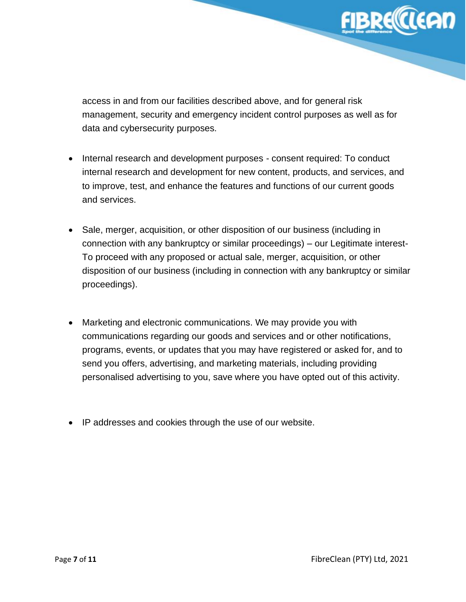

access in and from our facilities described above, and for general risk management, security and emergency incident control purposes as well as for data and cybersecurity purposes.

- Internal research and development purposes consent required: To conduct internal research and development for new content, products, and services, and to improve, test, and enhance the features and functions of our current goods and services.
- Sale, merger, acquisition, or other disposition of our business (including in connection with any bankruptcy or similar proceedings) – our Legitimate interest-To proceed with any proposed or actual sale, merger, acquisition, or other disposition of our business (including in connection with any bankruptcy or similar proceedings).
- Marketing and electronic communications. We may provide you with communications regarding our goods and services and or other notifications, programs, events, or updates that you may have registered or asked for, and to send you offers, advertising, and marketing materials, including providing personalised advertising to you, save where you have opted out of this activity.
- IP addresses and cookies through the use of our website.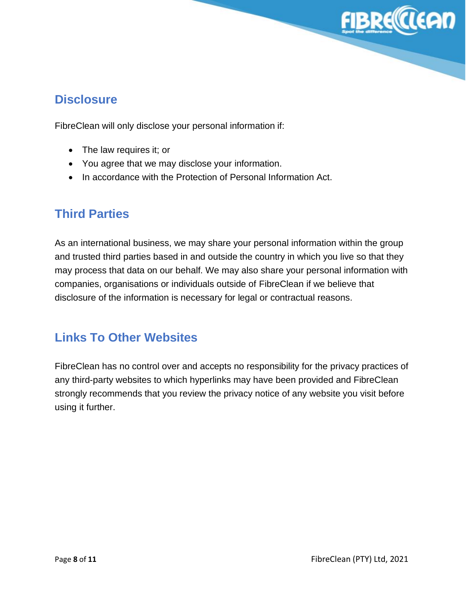

#### **Disclosure**

FibreClean will only disclose your personal information if:

- The law requires it; or
- You agree that we may disclose your information.
- In accordance with the Protection of Personal Information Act.

#### **Third Parties**

As an international business, we may share your personal information within the group and trusted third parties based in and outside the country in which you live so that they may process that data on our behalf. We may also share your personal information with companies, organisations or individuals outside of FibreClean if we believe that disclosure of the information is necessary for legal or contractual reasons.

### **Links To Other Websites**

FibreClean has no control over and accepts no responsibility for the privacy practices of any third-party websites to which hyperlinks may have been provided and FibreClean strongly recommends that you review the privacy notice of any website you visit before using it further.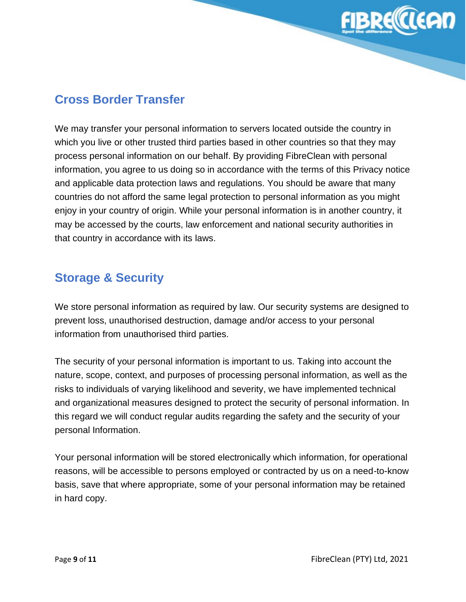

## **Cross Border Transfer**

We may transfer your personal information to servers located outside the country in which you live or other trusted third parties based in other countries so that they may process personal information on our behalf. By providing FibreClean with personal information, you agree to us doing so in accordance with the terms of this Privacy notice and applicable data protection laws and regulations. You should be aware that many countries do not afford the same legal protection to personal information as you might enjoy in your country of origin. While your personal information is in another country, it may be accessed by the courts, law enforcement and national security authorities in that country in accordance with its laws.

### **Storage & Security**

We store personal information as required by law. Our security systems are designed to prevent loss, unauthorised destruction, damage and/or access to your personal information from unauthorised third parties.

The security of your personal information is important to us. Taking into account the nature, scope, context, and purposes of processing personal information, as well as the risks to individuals of varying likelihood and severity, we have implemented technical and organizational measures designed to protect the security of personal information. In this regard we will conduct regular audits regarding the safety and the security of your personal Information.

Your personal information will be stored electronically which information, for operational reasons, will be accessible to persons employed or contracted by us on a need-to-know basis, save that where appropriate, some of your personal information may be retained in hard copy.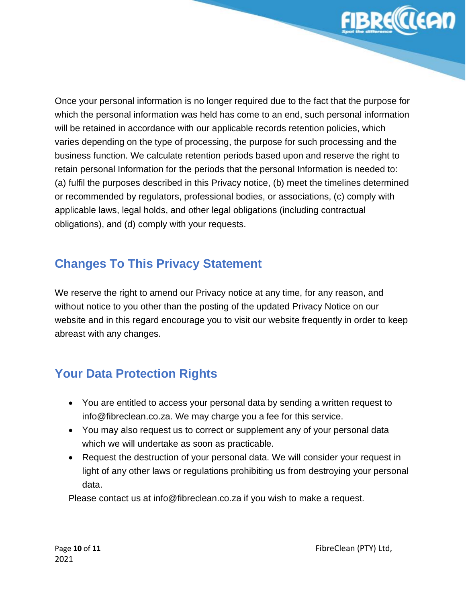

Once your personal information is no longer required due to the fact that the purpose for which the personal information was held has come to an end, such personal information will be retained in accordance with our applicable records retention policies, which varies depending on the type of processing, the purpose for such processing and the business function. We calculate retention periods based upon and reserve the right to retain personal Information for the periods that the personal Information is needed to: (a) fulfil the purposes described in this Privacy notice, (b) meet the timelines determined or recommended by regulators, professional bodies, or associations, (c) comply with applicable laws, legal holds, and other legal obligations (including contractual obligations), and (d) comply with your requests.

## **Changes To This Privacy Statement**

We reserve the right to amend our Privacy notice at any time, for any reason, and without notice to you other than the posting of the updated Privacy Notice on our website and in this regard encourage you to visit our website frequently in order to keep abreast with any changes.

# **Your Data Protection Rights**

- You are entitled to access your personal data by sending a written request to info@fibreclean.co.za. We may charge you a fee for this service.
- You may also request us to correct or supplement any of your personal data which we will undertake as soon as practicable.
- Request the destruction of your personal data. We will consider your request in light of any other laws or regulations prohibiting us from destroying your personal data.

Please contact us at info@fibreclean.co.za if you wish to make a request.